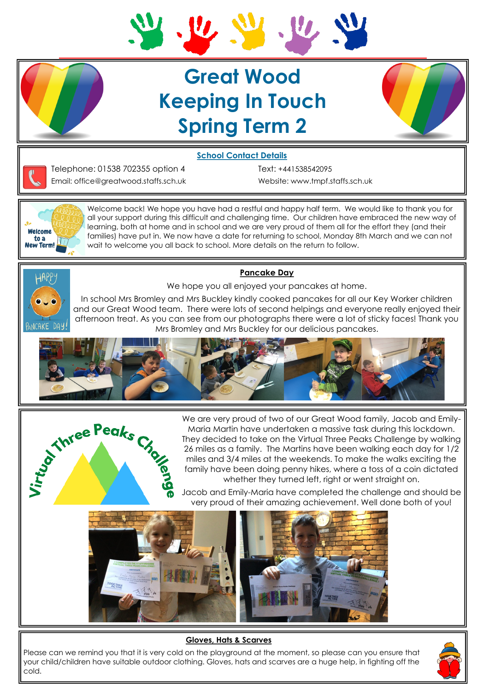

# **Great Wood Keeping In Touch Spring Term 2**



### **School Contact Details**



Telephone: 01538 702355 option 4 Text: +441538542095 Email: office@greatwood.staffs.sch.uk Website: www.tmpf.staffs.sch.uk



Welcome back! We hope you have had a restful and happy half term. We would like to thank you for all your support during this difficult and challenging time. Our children have embraced the new way of learning, both at home and in school and we are very proud of them all for the effort they (and their families) have put in. We now have a date for returning to school, Monday 8th March and we can not wait to welcome you all back to school. More details on the return to follow.



**Pancake Day**

We hope you all enjoyed your pancakes at home.

In school Mrs Bromley and Mrs Buckley kindly cooked pancakes for all our Key Worker children and our Great Wood team. There were lots of second helpings and everyone really enjoyed their afternoon treat. As you can see from our photographs there were a lot of sticky faces! Thank you Mrs Bromley and Mrs Buckley for our delicious pancakes.





We are very proud of two of our Great Wood family, Jacob and Emily-Maria Martin have undertaken a massive task during this lockdown. They decided to take on the Virtual Three Peaks Challenge by walking 26 miles as a family. The Martins have been walking each day for 1/2 miles and 3/4 miles at the weekends. To make the walks exciting the family have been doing penny hikes, where a toss of a coin dictated whether they turned left, right or went straight on.

Jacob and Emily-Maria have completed the challenge and should be very proud of their amazing achievement. Well done both of you!



#### **Gloves, Hats & Scarves**

Please can we remind you that it is very cold on the playground at the moment, so please can you ensure that your child/children have suitable outdoor clothing. Gloves, hats and scarves are a huge help, in fighting off the cold.